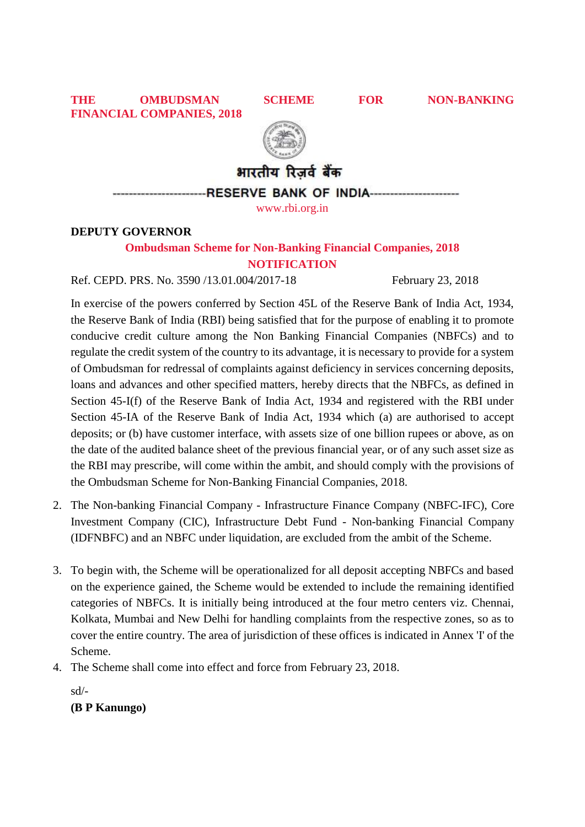**THE OMBUDSMAN SCHEME FOR NON-BANKING FINANCIAL COMPANIES, 2018**



भारतीय रिजर्व बैंक

**RESERVE BANK OF INDIA----**

[www.rbi.org.in](http://www.rbi.org.in/)

## **DEPUTY GOVERNOR**

# **Ombudsman Scheme for Non-Banking Financial Companies, 2018 NOTIFICATION**

Ref. CEPD. PRS. No. 3590 /13.01.004/2017-18 February 23, 2018

In exercise of the powers conferred by Section 45L of the Reserve Bank of India Act, 1934, the Reserve Bank of India (RBI) being satisfied that for the purpose of enabling it to promote conducive credit culture among the Non Banking Financial Companies (NBFCs) and to regulate the credit system of the country to its advantage, it is necessary to provide for a system of Ombudsman for redressal of complaints against deficiency in services concerning deposits, loans and advances and other specified matters, hereby directs that the NBFCs, as defined in Section 45-I(f) of the Reserve Bank of India Act, 1934 and registered with the RBI under Section 45-IA of the Reserve Bank of India Act, 1934 which (a) are authorised to accept deposits; or (b) have customer interface, with assets size of one billion rupees or above, as on the date of the audited balance sheet of the previous financial year, or of any such asset size as the RBI may prescribe, will come within the ambit, and should comply with the provisions of the Ombudsman Scheme for Non-Banking Financial Companies, 2018.

- 2. The Non-banking Financial Company Infrastructure Finance Company (NBFC-IFC), Core Investment Company (CIC), Infrastructure Debt Fund - Non-banking Financial Company (IDFNBFC) and an NBFC under liquidation, are excluded from the ambit of the Scheme.
- 3. To begin with, the Scheme will be operationalized for all deposit accepting NBFCs and based on the experience gained, the Scheme would be extended to include the remaining identified categories of NBFCs. It is initially being introduced at the four metro centers viz. Chennai, Kolkata, Mumbai and New Delhi for handling complaints from the respective zones, so as to cover the entire country. The area of jurisdiction of these offices is indicated in Annex 'I' of the Scheme.
- 4. The Scheme shall come into effect and force from February 23, 2018.

sd/-

# **(B P Kanungo)**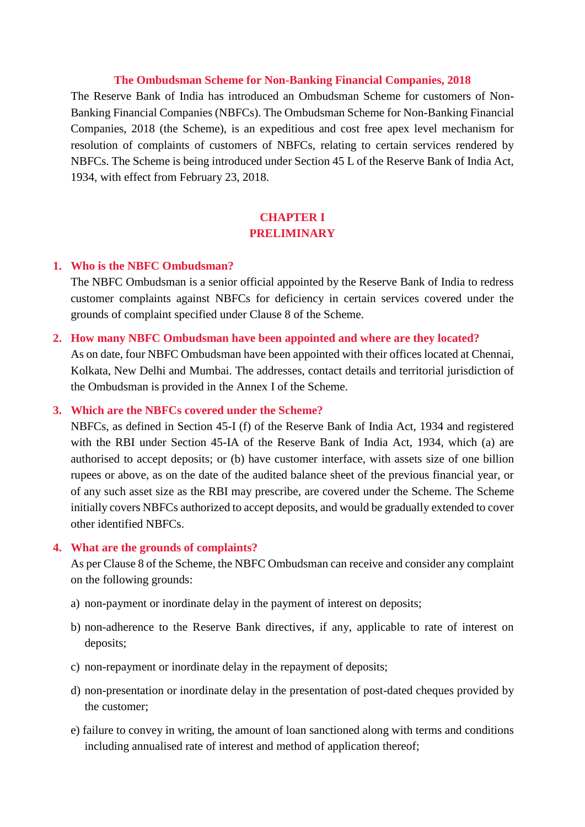#### **The Ombudsman Scheme for Non-Banking Financial Companies, 2018**

The Reserve Bank of India has introduced an Ombudsman Scheme for customers of Non-Banking Financial Companies (NBFCs). The Ombudsman Scheme for Non-Banking Financial Companies, 2018 (the Scheme), is an expeditious and cost free apex level mechanism for resolution of complaints of customers of NBFCs, relating to certain services rendered by NBFCs. The Scheme is being introduced under Section 45 L of the Reserve Bank of India Act, 1934, with effect from February 23, 2018.

## **CHAPTER I PRELIMINARY**

#### **1. Who is the NBFC Ombudsman?**

The NBFC Ombudsman is a senior official appointed by the Reserve Bank of India to redress customer complaints against NBFCs for deficiency in certain services covered under the grounds of complaint specified under Clause 8 of the Scheme.

#### **2. How many NBFC Ombudsman have been appointed and where are they located?**

As on date, four NBFC Ombudsman have been appointed with their offices located at Chennai, Kolkata, New Delhi and Mumbai. The addresses, contact details and territorial jurisdiction of the Ombudsman is provided in the Annex I of the Scheme.

#### **3. Which are the NBFCs covered under the Scheme?**

NBFCs, as defined in Section 45-I (f) of the Reserve Bank of India Act, 1934 and registered with the RBI under Section 45-IA of the Reserve Bank of India Act, 1934, which (a) are authorised to accept deposits; or (b) have customer interface, with assets size of one billion rupees or above, as on the date of the audited balance sheet of the previous financial year, or of any such asset size as the RBI may prescribe, are covered under the Scheme. The Scheme initially covers NBFCs authorized to accept deposits, and would be gradually extended to cover other identified NBFCs.

#### **4. What are the grounds of complaints?**

As per Clause 8 of the Scheme, the NBFC Ombudsman can receive and consider any complaint on the following grounds:

- a) non-payment or inordinate delay in the payment of interest on deposits;
- b) non-adherence to the Reserve Bank directives, if any, applicable to rate of interest on deposits;
- c) non-repayment or inordinate delay in the repayment of deposits;
- d) non-presentation or inordinate delay in the presentation of post-dated cheques provided by the customer;
- e) failure to convey in writing, the amount of loan sanctioned along with terms and conditions including annualised rate of interest and method of application thereof;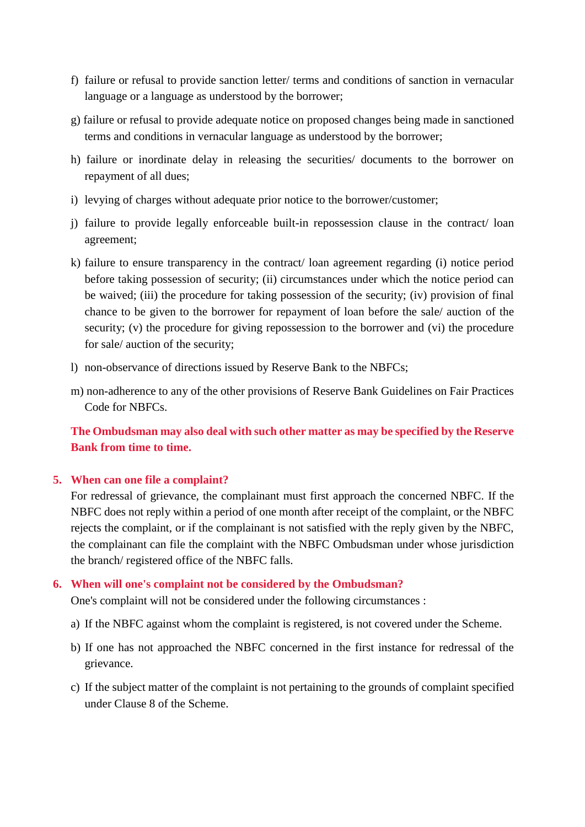- f) failure or refusal to provide sanction letter/ terms and conditions of sanction in vernacular language or a language as understood by the borrower;
- g) failure or refusal to provide adequate notice on proposed changes being made in sanctioned terms and conditions in vernacular language as understood by the borrower;
- h) failure or inordinate delay in releasing the securities/ documents to the borrower on repayment of all dues;
- i) levying of charges without adequate prior notice to the borrower/customer;
- j) failure to provide legally enforceable built-in repossession clause in the contract/ loan agreement;
- k) failure to ensure transparency in the contract/ loan agreement regarding (i) notice period before taking possession of security; (ii) circumstances under which the notice period can be waived; (iii) the procedure for taking possession of the security; (iv) provision of final chance to be given to the borrower for repayment of loan before the sale/ auction of the security; (v) the procedure for giving repossession to the borrower and (vi) the procedure for sale/ auction of the security;
- l) non-observance of directions issued by Reserve Bank to the NBFCs;
- m) non-adherence to any of the other provisions of Reserve Bank Guidelines on Fair Practices Code for NBFCs.

**The Ombudsman may also deal with such other matter as may be specified by the Reserve Bank from time to time.**

## **5. When can one file a complaint?**

For redressal of grievance, the complainant must first approach the concerned NBFC. If the NBFC does not reply within a period of one month after receipt of the complaint, or the NBFC rejects the complaint, or if the complainant is not satisfied with the reply given by the NBFC, the complainant can file the complaint with the NBFC Ombudsman under whose jurisdiction the branch/ registered office of the NBFC falls.

### **6. When will one's complaint not be considered by the Ombudsman?**

One's complaint will not be considered under the following circumstances :

- a) If the NBFC against whom the complaint is registered, is not covered under the Scheme.
- b) If one has not approached the NBFC concerned in the first instance for redressal of the grievance.
- c) If the subject matter of the complaint is not pertaining to the grounds of complaint specified under Clause 8 of the Scheme.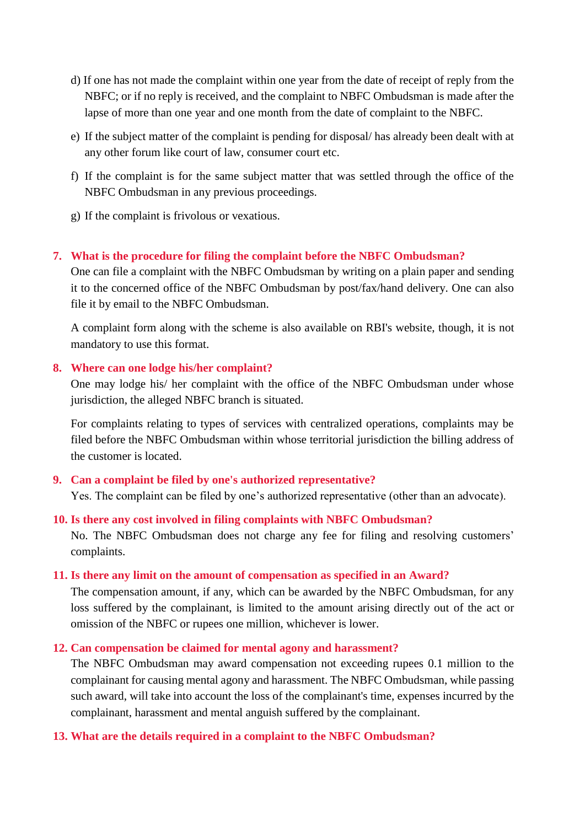- d) If one has not made the complaint within one year from the date of receipt of reply from the NBFC; or if no reply is received, and the complaint to NBFC Ombudsman is made after the lapse of more than one year and one month from the date of complaint to the NBFC.
- e) If the subject matter of the complaint is pending for disposal/ has already been dealt with at any other forum like court of law, consumer court etc.
- f) If the complaint is for the same subject matter that was settled through the office of the NBFC Ombudsman in any previous proceedings.
- g) If the complaint is frivolous or vexatious.

## **7. What is the procedure for filing the complaint before the NBFC Ombudsman?**

One can file a complaint with the NBFC Ombudsman by writing on a plain paper and sending it to the concerned office of the NBFC Ombudsman by post/fax/hand delivery. One can also file it by email to the NBFC Ombudsman.

A complaint form along with the scheme is also available on RBI's website, though, it is not mandatory to use this format.

### **8. Where can one lodge his/her complaint?**

One may lodge his/ her complaint with the office of the NBFC Ombudsman under whose jurisdiction, the alleged NBFC branch is situated.

For complaints relating to types of services with centralized operations, complaints may be filed before the NBFC Ombudsman within whose territorial jurisdiction the billing address of the customer is located.

## **9. Can a complaint be filed by one's authorized representative?**

Yes. The complaint can be filed by one's authorized representative (other than an advocate).

### **10. Is there any cost involved in filing complaints with NBFC Ombudsman?**

No. The NBFC Ombudsman does not charge any fee for filing and resolving customers' complaints.

### **11. Is there any limit on the amount of compensation as specified in an Award?**

The compensation amount, if any, which can be awarded by the NBFC Ombudsman, for any loss suffered by the complainant, is limited to the amount arising directly out of the act or omission of the NBFC or rupees one million, whichever is lower.

### **12. Can compensation be claimed for mental agony and harassment?**

The NBFC Ombudsman may award compensation not exceeding rupees 0.1 million to the complainant for causing mental agony and harassment. The NBFC Ombudsman, while passing such award, will take into account the loss of the complainant's time, expenses incurred by the complainant, harassment and mental anguish suffered by the complainant.

### **13. What are the details required in a complaint to the NBFC Ombudsman?**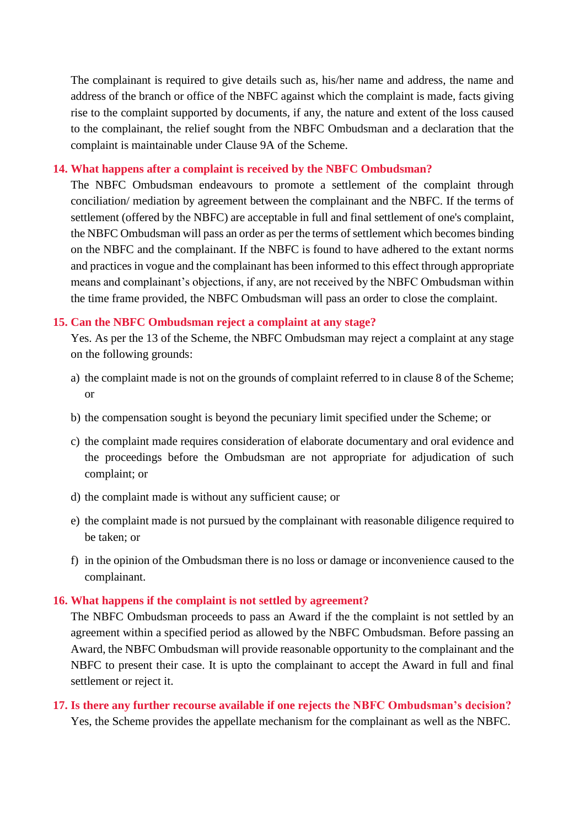The complainant is required to give details such as, his/her name and address, the name and address of the branch or office of the NBFC against which the complaint is made, facts giving rise to the complaint supported by documents, if any, the nature and extent of the loss caused to the complainant, the relief sought from the NBFC Ombudsman and a declaration that the complaint is maintainable under Clause 9A of the Scheme.

#### **14. What happens after a complaint is received by the NBFC Ombudsman?**

The NBFC Ombudsman endeavours to promote a settlement of the complaint through conciliation/ mediation by agreement between the complainant and the NBFC. If the terms of settlement (offered by the NBFC) are acceptable in full and final settlement of one's complaint, the NBFC Ombudsman will pass an order as per the terms of settlement which becomes binding on the NBFC and the complainant. If the NBFC is found to have adhered to the extant norms and practices in vogue and the complainant has been informed to this effect through appropriate means and complainant's objections, if any, are not received by the NBFC Ombudsman within the time frame provided, the NBFC Ombudsman will pass an order to close the complaint.

#### **15. Can the NBFC Ombudsman reject a complaint at any stage?**

Yes. As per the 13 of the Scheme, the NBFC Ombudsman may reject a complaint at any stage on the following grounds:

- a) the complaint made is not on the grounds of complaint referred to in clause 8 of the Scheme; or
- b) the compensation sought is beyond the pecuniary limit specified under the Scheme; or
- c) the complaint made requires consideration of elaborate documentary and oral evidence and the proceedings before the Ombudsman are not appropriate for adjudication of such complaint; or
- d) the complaint made is without any sufficient cause; or
- e) the complaint made is not pursued by the complainant with reasonable diligence required to be taken; or
- f) in the opinion of the Ombudsman there is no loss or damage or inconvenience caused to the complainant.

#### **16. What happens if the complaint is not settled by agreement?**

The NBFC Ombudsman proceeds to pass an Award if the the complaint is not settled by an agreement within a specified period as allowed by the NBFC Ombudsman. Before passing an Award, the NBFC Ombudsman will provide reasonable opportunity to the complainant and the NBFC to present their case. It is upto the complainant to accept the Award in full and final settlement or reject it.

## **17. Is there any further recourse available if one rejects the NBFC Ombudsman's decision?** Yes, the Scheme provides the appellate mechanism for the complainant as well as the NBFC.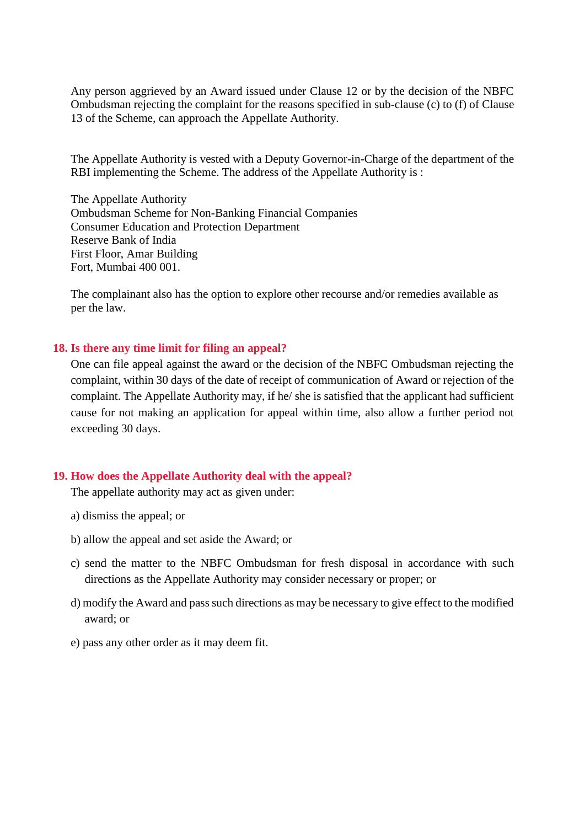Any person aggrieved by an Award issued under Clause 12 or by the decision of the NBFC Ombudsman rejecting the complaint for the reasons specified in sub-clause (c) to (f) of Clause 13 of the Scheme, can approach the Appellate Authority.

The Appellate Authority is vested with a Deputy Governor-in-Charge of the department of the RBI implementing the Scheme. The address of the Appellate Authority is :

The Appellate Authority Ombudsman Scheme for Non-Banking Financial Companies Consumer Education and Protection Department Reserve Bank of India First Floor, Amar Building Fort, Mumbai 400 001.

The complainant also has the option to explore other recourse and/or remedies available as per the law.

#### **18. Is there any time limit for filing an appeal?**

One can file appeal against the award or the decision of the NBFC Ombudsman rejecting the complaint, within 30 days of the date of receipt of communication of Award or rejection of the complaint. The Appellate Authority may, if he/ she is satisfied that the applicant had sufficient cause for not making an application for appeal within time, also allow a further period not exceeding 30 days.

#### **19. How does the Appellate Authority deal with the appeal?**

The appellate authority may act as given under:

- a) dismiss the appeal; or
- b) allow the appeal and set aside the Award; or
- c) send the matter to the NBFC Ombudsman for fresh disposal in accordance with such directions as the Appellate Authority may consider necessary or proper; or
- d) modify the Award and pass such directions as may be necessary to give effect to the modified award; or
- e) pass any other order as it may deem fit.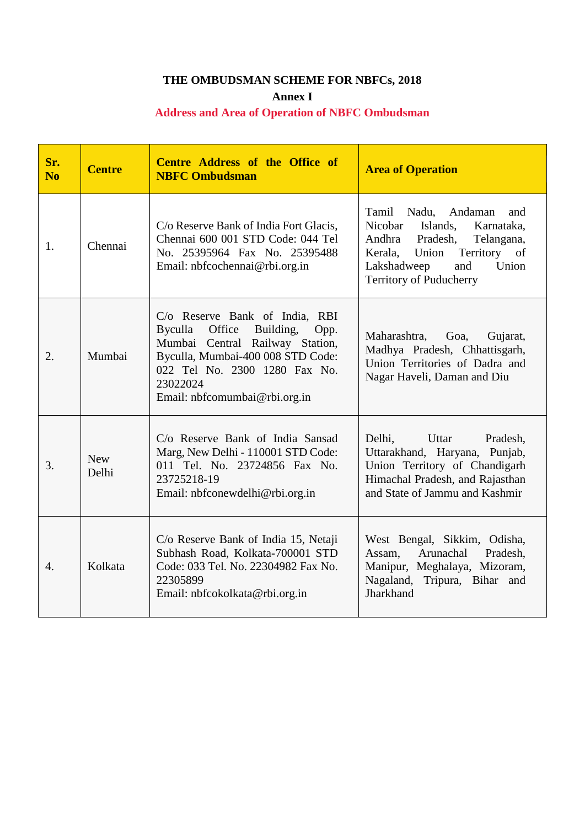# **THE OMBUDSMAN SCHEME FOR NBFCs, 2018**

**Annex I**

# **Address and Area of Operation of NBFC Ombudsman**

| Sr.<br>N <sub>0</sub> | <b>Centre</b>       | Centre Address of the Office of<br><b>NBFC Ombudsman</b>                                                                                                                                                                       | <b>Area of Operation</b>                                                                                                                                                                                    |
|-----------------------|---------------------|--------------------------------------------------------------------------------------------------------------------------------------------------------------------------------------------------------------------------------|-------------------------------------------------------------------------------------------------------------------------------------------------------------------------------------------------------------|
| 1.                    | Chennai             | C/o Reserve Bank of India Fort Glacis,<br>Chennai 600 001 STD Code: 044 Tel<br>No. 25395964 Fax No. 25395488<br>Email: nbfcochennai@rbi.org.in                                                                                 | Tamil<br>Nadu,<br>Andaman<br>and<br>Nicobar<br>Islands,<br>Karnataka,<br>Pradesh,<br>Telangana,<br>Andhra<br>Territory of<br>Kerala, Union<br>and<br>Lakshadweep<br>Union<br><b>Territory of Puducherry</b> |
| 2.                    | Mumbai              | C/o Reserve Bank of India, RBI<br>Office<br>Byculla<br>Building,<br>Opp.<br>Mumbai Central Railway Station,<br>Byculla, Mumbai-400 008 STD Code:<br>022 Tel No. 2300 1280 Fax No.<br>23022024<br>Email: nbfcomumbai@rbi.org.in | Maharashtra,<br>Goa,<br>Gujarat,<br>Madhya Pradesh, Chhattisgarh,<br>Union Territories of Dadra and<br>Nagar Haveli, Daman and Diu                                                                          |
| 3.                    | <b>New</b><br>Delhi | C/o Reserve Bank of India Sansad<br>Marg, New Delhi - 110001 STD Code:<br>011 Tel. No. 23724856 Fax No.<br>23725218-19<br>Email: nbfconewdelhi@rbi.org.in                                                                      | Uttar<br>Delhi,<br>Pradesh,<br>Uttarakhand, Haryana, Punjab,<br>Union Territory of Chandigarh<br>Himachal Pradesh, and Rajasthan<br>and State of Jammu and Kashmir                                          |
| $\overline{4}$ .      | Kolkata             | C/o Reserve Bank of India 15, Netaji<br>Subhash Road, Kolkata-700001 STD<br>Code: 033 Tel. No. 22304982 Fax No.<br>22305899<br>Email: nbfcokolkata@rbi.org.in                                                                  | West Bengal, Sikkim, Odisha,<br>Arunachal<br>Pradesh,<br>Assam,<br>Manipur, Meghalaya, Mizoram,<br>Nagaland, Tripura, Bihar and<br>Jharkhand                                                                |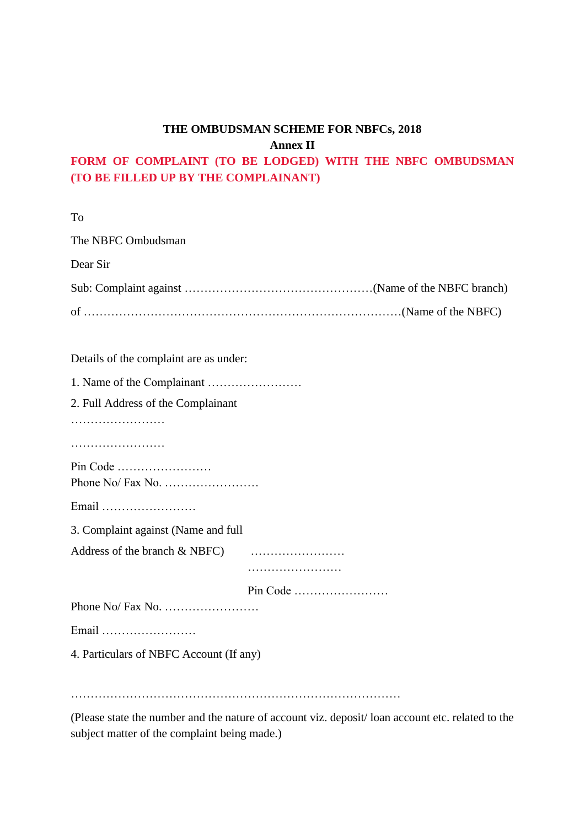# **THE OMBUDSMAN SCHEME FOR NBFCs, 2018 Annex II**

# **FORM OF COMPLAINT (TO BE LODGED) WITH THE NBFC OMBUDSMAN (TO BE FILLED UP BY THE COMPLAINANT)**

To The NBFC Ombudsman Dear Sir Sub: Complaint against …………………………………………(Name of the NBFC branch) of ………………………………………………………………………(Name of the NBFC) Details of the complaint are as under: 1. Name of the Complainant …………………… 2. Full Address of the Complainant …………………… ………………………… Pin Code …………………… Phone No/ Fax No. …………………… Email …………………… 3. Complaint against (Name and full Address of the branch & NBFC music music music extension of the branch & NBFC music music music extended to  $\sim$ …………………… Pin Code …………………… Phone No/ Fax No. …………………… Email …………………… 4. Particulars of NBFC Account (If any) …………………………………………………………………………

(Please state the number and the nature of account viz. deposit/ loan account etc. related to the subject matter of the complaint being made.)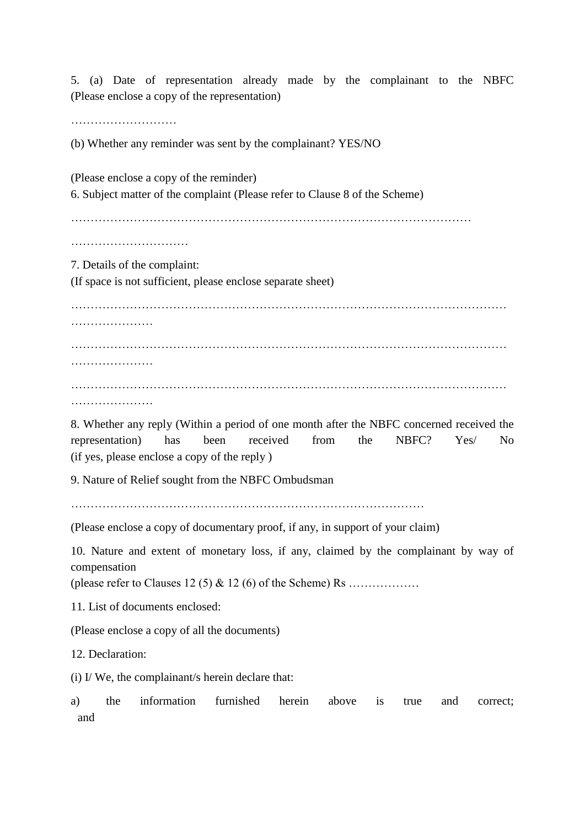5. (a) Date of representation already made by the complainant to the NBFC (Please enclose a copy of the representation)

………………………

(b) Whether any reminder was sent by the complainant? YES/NO

(Please enclose a copy of the reminder) 6. Subject matter of the complaint (Please refer to Clause 8 of the Scheme) ………………………………………………………………………………………… …………………………………… 7. Details of the complaint: (If space is not sufficient, please enclose separate sheet) ………………………………………………………………………………………………… ……………………… ………………………………………………………………………………………………… ………………… ………………………………………………………………………………………………… …………………

8. Whether any reply (Within a period of one month after the NBFC concerned received the representation) has been received from the NBFC? Yes/ No (if yes, please enclose a copy of the reply )

9. Nature of Relief sought from the NBFC Ombudsman

(Please enclose a copy of documentary proof, if any, in support of your claim)

10. Nature and extent of monetary loss, if any, claimed by the complainant by way of compensation

(please refer to Clauses 12 (5) & 12 (6) of the Scheme) Rs ………………

11. List of documents enclosed:

(Please enclose a copy of all the documents)

12. Declaration:

(i) I/ We, the complainant/s herein declare that:

a) the information furnished herein above is true and correct; and